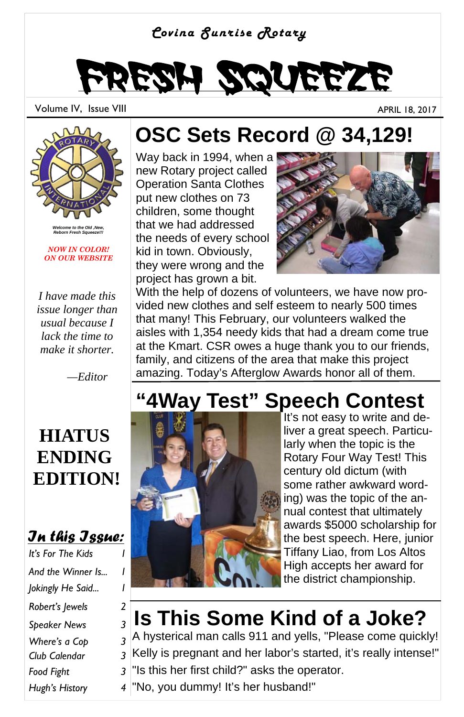#### *Covina Sunrise Rotary*

# Fresh Squeeze

Volume IV, Issue VIII APRIL 18, 2017

*Welcome to the Old ,New, Reborn Fresh Squeeze!!!* 

*NOW IN COLOR! ON OUR WEBSITE* 

*I have made this issue longer than usual because I lack the time to make it shorter.* 

 *—Editor* 

#### **HIATUS ENDING EDITION!**

#### *In this Issue:*

*It's For The Kids* And the Winner Is... *Jokingly He Said... 1 Robert's Jewels 2 Speaker News 3 Where's a Cop 3 Club Calendar 3 Hugh's History 4 Food Fight 3* 

#### **OSC Sets Record @ 34,129!**

Way back in 1994, when a new Rotary project called Operation Santa Clothes put new clothes on 73 children, some thought that we had addressed the needs of every school kid in town. Obviously, they were wrong and the project has grown a bit.



With the help of dozens of volunteers, we have now provided new clothes and self esteem to nearly 500 times that many! This February, our volunteers walked the aisles with 1,354 needy kids that had a dream come true at the Kmart. CSR owes a huge thank you to our friends, family, and citizens of the area that make this project amazing. Today's Afterglow Awards honor all of them.

#### **"4Way Test" Speech Contest**



It's not easy to write and deliver a great speech. Particularly when the topic is the Rotary Four Way Test! This century old dictum (with some rather awkward wording) was the topic of the annual contest that ultimately awards \$5000 scholarship for the best speech. Here, junior Tiffany Liao, from Los Altos High accepts her award for the district championship.

#### **Is This Some Kind of a Joke?**

A hysterical man calls 911 and yells, "Please come quickly! Kelly is pregnant and her labor's started, it's really intense!" "Is this her first child?" asks the operator.

"No, you dummy! It's her husband!"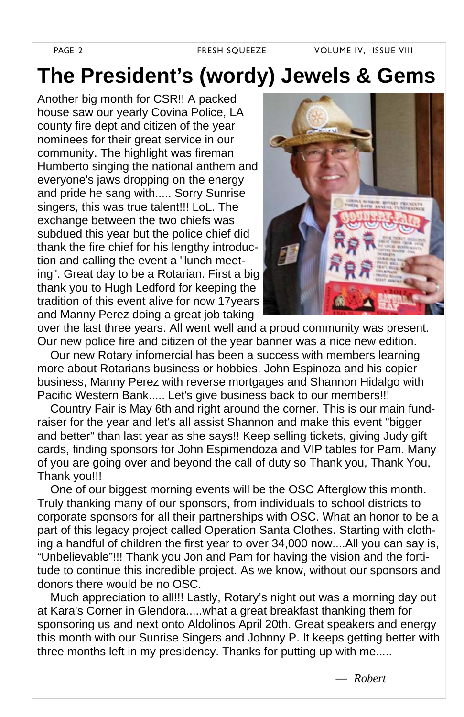PAGE 2 **FRESH SQUEEZE** VOLUME IV, ISSUE VIII

#### **The President's (wordy) Jewels & Gems**

Another big month for CSR!! A packed house saw our yearly Covina Police, LA county fire dept and citizen of the year nominees for their great service in our community. The highlight was fireman Humberto singing the national anthem and everyone's jaws dropping on the energy and pride he sang with..... Sorry Sunrise singers, this was true talent!!! LoL. The exchange between the two chiefs was subdued this year but the police chief did thank the fire chief for his lengthy introduction and calling the event a "lunch meeting". Great day to be a Rotarian. First a big thank you to Hugh Ledford for keeping the tradition of this event alive for now 17years and Manny Perez doing a great job taking



over the last three years. All went well and a proud community was present. Our new police fire and citizen of the year banner was a nice new edition.

 Our new Rotary infomercial has been a success with members learning more about Rotarians business or hobbies. John Espinoza and his copier business, Manny Perez with reverse mortgages and Shannon Hidalgo with Pacific Western Bank..... Let's give business back to our members!!!

 Country Fair is May 6th and right around the corner. This is our main fundraiser for the year and let's all assist Shannon and make this event "bigger and better" than last year as she says!! Keep selling tickets, giving Judy gift cards, finding sponsors for John Espimendoza and VIP tables for Pam. Many of you are going over and beyond the call of duty so Thank you, Thank You, Thank you!!!

 One of our biggest morning events will be the OSC Afterglow this month. Truly thanking many of our sponsors, from individuals to school districts to corporate sponsors for all their partnerships with OSC. What an honor to be a part of this legacy project called Operation Santa Clothes. Starting with clothing a handful of children the first year to over 34,000 now....All you can say is, "Unbelievable"!!! Thank you Jon and Pam for having the vision and the fortitude to continue this incredible project. As we know, without our sponsors and donors there would be no OSC.

 Much appreciation to all!!! Lastly, Rotary's night out was a morning day out at Kara's Corner in Glendora.....what a great breakfast thanking them for sponsoring us and next onto Aldolinos April 20th. Great speakers and energy this month with our Sunrise Singers and Johnny P. It keeps getting better with three months left in my presidency. Thanks for putting up with me.....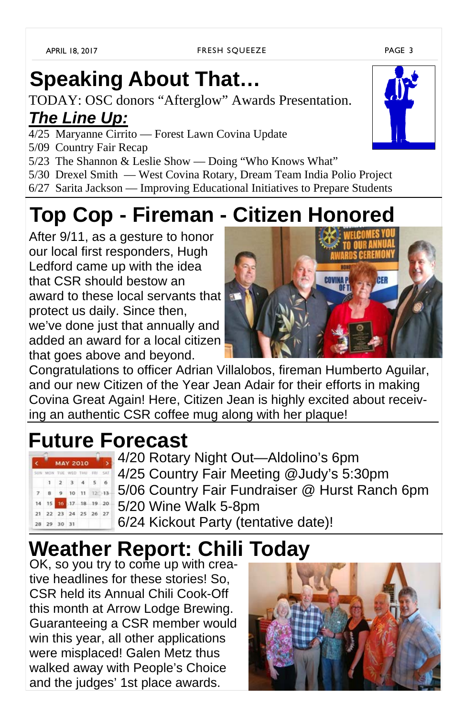### **Speaking About That…**

TODAY: OSC donors "Afterglow" Awards Presentation. *The Line Up:*

- 4/25 Maryanne Cirrito Forest Lawn Covina Update
- 5/09 Country Fair Recap
- 5/23 The Shannon & Leslie Show Doing "Who Knows What"
- 5/30 Drexel Smith West Covina Rotary, Dream Team India Polio Project
- 6/27 Sarita Jackson Improving Educational Initiatives to Prepare Students

### **Top Cop - Fireman - Citizen Honored**

After 9/11, as a gesture to honor our local first responders, Hugh Ledford came up with the idea that CSR should bestow an award to these local servants that protect us daily. Since then, we've done just that annually and added an award for a local citizen that goes above and beyond.

Congratulations to officer Adrian Villalobos, fireman Humberto Aguilar, and our new Citizen of the Year Jean Adair for their efforts in making Covina Great Again! Here, Citizen Jean is highly excited about receiving an authentic CSR coffee mug along with her plaque!

#### **Future Forecast**

|       |                             | <b>MAY 2010</b> |                         |  |  |  |
|-------|-----------------------------|-----------------|-------------------------|--|--|--|
|       | SUN MON TUE WED THU FRI SAT |                 |                         |  |  |  |
|       |                             |                 | $1 \t2 \t3 \t4 \t5 \t6$ |  |  |  |
| $-7.$ | 8 9 10 11 12 13             |                 |                         |  |  |  |
|       | 14 15 16 17 18 19 20        |                 |                         |  |  |  |
|       | 21 22 23 24 25 26 27        |                 |                         |  |  |  |
|       | 28 29 30 31                 |                 |                         |  |  |  |

- 4/20 Rotary Night Out—Aldolino's 6pm
- 4/25 Country Fair Meeting @Judy's 5:30pm
- 5/06 Country Fair Fundraiser @ Hurst Ranch 6pm
- 5/20 Wine Walk 5-8pm
- 6/24 Kickout Party (tentative date)!

## **Weather Report: Chili Today**

OK, so you try to come up with creative headlines for these stories! So, CSR held its Annual Chili Cook-Off this month at Arrow Lodge Brewing. Guaranteeing a CSR member would win this year, all other applications were misplaced! Galen Metz thus walked away with People's Choice and the judges' 1st place awards.